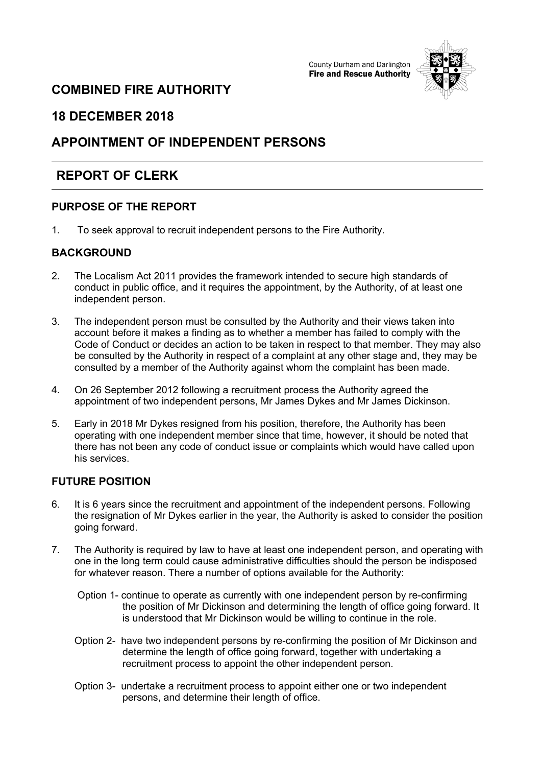



# **COMBINED FIRE AUTHORITY**

### **18 DECEMBER 2018**

# **APPOINTMENT OF INDEPENDENT PERSONS**

# **REPORT OF CLERK**

### **PURPOSE OF THE REPORT**

1. To seek approval to recruit independent persons to the Fire Authority.

### **BACKGROUND**

- 2. The Localism Act 2011 provides the framework intended to secure high standards of conduct in public office, and it requires the appointment, by the Authority, of at least one independent person.
- 3. The independent person must be consulted by the Authority and their views taken into account before it makes a finding as to whether a member has failed to comply with the Code of Conduct or decides an action to be taken in respect to that member. They may also be consulted by the Authority in respect of a complaint at any other stage and, they may be consulted by a member of the Authority against whom the complaint has been made.
- 4. On 26 September 2012 following a recruitment process the Authority agreed the appointment of two independent persons, Mr James Dykes and Mr James Dickinson.
- 5. Early in 2018 Mr Dykes resigned from his position, therefore, the Authority has been operating with one independent member since that time, however, it should be noted that there has not been any code of conduct issue or complaints which would have called upon his services.

#### **FUTURE POSITION**

- 6. It is 6 years since the recruitment and appointment of the independent persons. Following the resignation of Mr Dykes earlier in the year, the Authority is asked to consider the position going forward.
- 7. The Authority is required by law to have at least one independent person, and operating with one in the long term could cause administrative difficulties should the person be indisposed for whatever reason. There a number of options available for the Authority:
	- Option 1- continue to operate as currently with one independent person by re-confirming the position of Mr Dickinson and determining the length of office going forward. It is understood that Mr Dickinson would be willing to continue in the role.
	- Option 2- have two independent persons by re-confirming the position of Mr Dickinson and determine the length of office going forward, together with undertaking a recruitment process to appoint the other independent person.
	- Option 3- undertake a recruitment process to appoint either one or two independent persons, and determine their length of office.